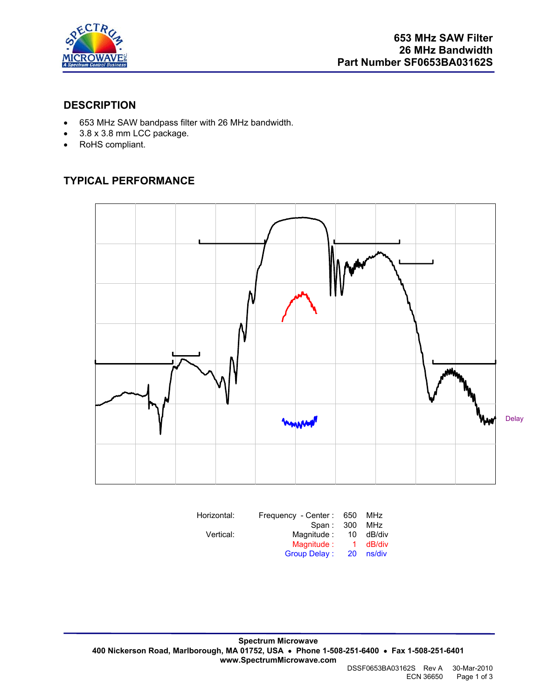

### **DESCRIPTION**

- 653 MHz SAW bandpass filter with 26 MHz bandwidth.
- 3.8 x 3.8 mm LCC package.
- RoHS compliant.

# **TYPICAL PERFORMANCE**



| Horizontal: | Frequency - Center: 650 |     | <b>MHz</b> |
|-------------|-------------------------|-----|------------|
|             | Span: 300               |     | MHz        |
| Vertical:   | Magnitude :             | 10  | dB/div     |
|             | Magnitude:              | -1. | dB/div     |
|             | <b>Group Delay:</b>     | 20  | ns/div     |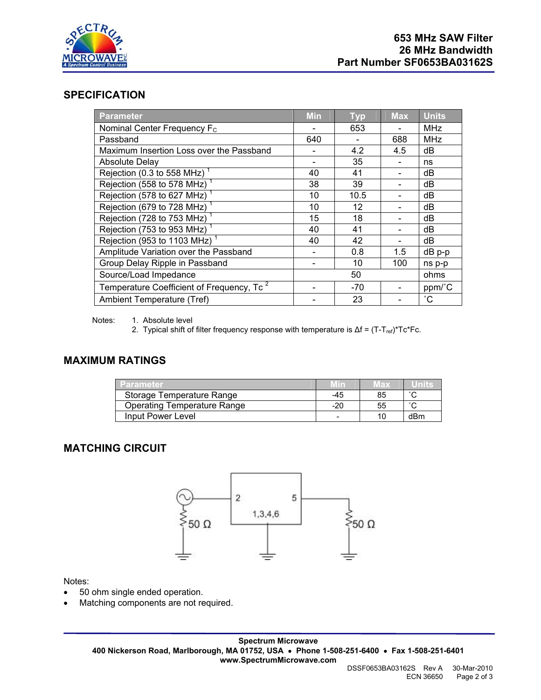

#### **SPECIFICATION**

| <b>Parameter</b>                                      | <b>Min</b> | <b>Typ</b> | <b>Max</b> | <b>Units</b>    |
|-------------------------------------------------------|------------|------------|------------|-----------------|
| Nominal Center Frequency F <sub>c</sub>               |            | 653        |            | <b>MHz</b>      |
| Passband                                              | 640        |            | 688        | <b>MHz</b>      |
| Maximum Insertion Loss over the Passband              |            | 4.2        | 4.5        | dB              |
| <b>Absolute Delay</b>                                 |            | 35         |            | ns              |
| Rejection (0.3 to 558 MHz) <sup>1</sup>               | 40         | 41         |            | dB              |
| Rejection (558 to 578 MHz)                            | 38         | 39         |            | dB              |
| Rejection (578 to 627 MHz)                            | 10         | 10.5       |            | dB              |
| Rejection (679 to 728 MHz)                            | 10         | 12         |            | dB              |
| Rejection (728 to 753 MHz)                            | 15         | 18         |            | dB              |
| Rejection (753 to 953 MHz)                            | 40         | 41         |            | dB              |
| Rejection (953 to 1103 MHz) <sup>1</sup>              | 40         | 42         |            | dB              |
| Amplitude Variation over the Passband                 |            | 0.8        | 1.5        | $dB$ p-p        |
| Group Delay Ripple in Passband                        |            | 10         | 100        | ns p-p          |
| Source/Load Impedance                                 |            | 50         |            | ohms            |
| Temperature Coefficient of Frequency, Tc <sup>2</sup> |            | -70        |            | ppm/°C          |
| Ambient Temperature (Tref)                            |            | 23         |            | $\rm ^{\circ}C$ |

Notes: 1. Absolute level

2. Typical shift of filter frequency response with temperature is  $\Delta f = (T-T_{ref})^*Tc^*Fc$ .

# **MAXIMUM RATINGS**

| <b>Parameter</b>            |     | wax | Units. |
|-----------------------------|-----|-----|--------|
| Storage Temperature Range   | -45 | 85  | $\sim$ |
| Operating Temperature Range | -20 | 55  | $\sim$ |
| Input Power Level           | -   |     | dBm    |

# **MATCHING CIRCUIT**



Notes:

- 50 ohm single ended operation.
- Matching components are not required.